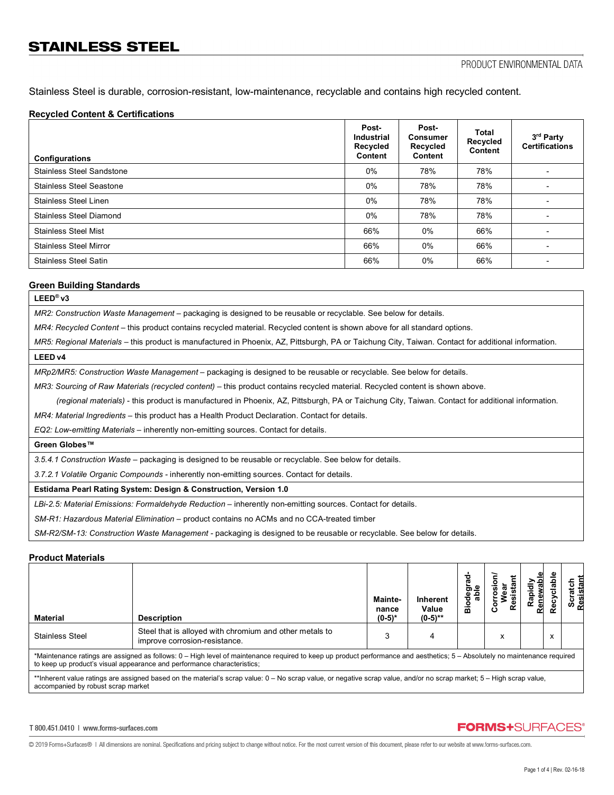Stainless Steel is durable, corrosion-resistant, low-maintenance, recyclable and contains high recycled content.

### **Recycled Content & Certifications**

| <b>Configurations</b>            | Post-<br><b>Industrial</b><br>Recycled<br>Content | Post-<br><b>Consumer</b><br>Recycled<br>Content | <b>Total</b><br>Recycled<br>Content | 3 <sup>rd</sup> Party<br><b>Certifications</b> |
|----------------------------------|---------------------------------------------------|-------------------------------------------------|-------------------------------------|------------------------------------------------|
| <b>Stainless Steel Sandstone</b> | $0\%$                                             | 78%                                             | 78%                                 |                                                |
| <b>Stainless Steel Seastone</b>  | $0\%$                                             | 78%                                             | 78%                                 |                                                |
| Stainless Steel Linen            | $0\%$                                             | 78%                                             | 78%                                 |                                                |
| <b>Stainless Steel Diamond</b>   | $0\%$                                             | 78%                                             | 78%                                 |                                                |
| <b>Stainless Steel Mist</b>      | 66%                                               | $0\%$                                           | 66%                                 |                                                |
| <b>Stainless Steel Mirror</b>    | 66%                                               | $0\%$                                           | 66%                                 |                                                |
| <b>Stainless Steel Satin</b>     | 66%                                               | 0%                                              | 66%                                 |                                                |

#### **Green Building Standards**

## **LEED® v3**

*MR2: Construction Waste Management –* packaging is designed to be reusable or recyclable. See below for details.

*MR4: Recycled Content* – this product contains recycled material. Recycled content is shown above for all standard options.

*MR5: Regional Materials* – this product is manufactured in Phoenix, AZ, Pittsburgh, PA or Taichung City, Taiwan. Contact for additional information.

#### **LEED v4**

*MRp2/MR5: Construction Waste Management –* packaging is designed to be reusable or recyclable. See below for details.

*MR3: Sourcing of Raw Materials (recycled content) - this product contains recycled material. Recycled content is shown above.* 

 *(regional materials)* - this product is manufactured in Phoenix, AZ, Pittsburgh, PA or Taichung City, Taiwan. Contact for additional information.

*MR4: Material Ingredients –* this product has a Health Product Declaration. Contact for details.

*EQ2: Low-emitting Materials –* inherently non-emitting sources. Contact for details.

#### **Green Globes™**

*3.5.4.1 Construction Waste* – packaging is designed to be reusable or recyclable. See below for details.

*3.7.2.1 Volatile Organic Compounds -* inherently non-emitting sources. Contact for details.

#### **Estidama Pearl Rating System: Design & Construction, Version 1.0**

*LBi-2.5: Material Emissions: Formaldehyde Reduction –* inherently non-emitting sources. Contact for details.

*SM-R1: Hazardous Material Elimination –* product contains no ACMs and no CCA-treated timber

*SM-R2/SM-13: Construction Waste Management -* packaging is designed to be reusable or recyclable. See below for details.

## **Product Materials**

| Material                                                                                                                                                                                                                                              | <b>Description</b>                                                                       | Mainte-<br>nance<br>$(0-5)*$ | <b>Inherent</b><br>Value<br>$(0-5)$ ** | ᢐ<br>≗<br>ಕಾ<br>음<br>ъ<br>۰<br>öõ | Resi<br>ن | ᄒ<br>Rapi<br>Ren | å<br>Recy | Scr<br>Resi |
|-------------------------------------------------------------------------------------------------------------------------------------------------------------------------------------------------------------------------------------------------------|------------------------------------------------------------------------------------------|------------------------------|----------------------------------------|-----------------------------------|-----------|------------------|-----------|-------------|
| <b>Stainless Steel</b>                                                                                                                                                                                                                                | Steel that is alloyed with chromium and other metals to<br>improve corrosion-resistance. |                              |                                        |                                   | X         |                  | x         |             |
| *Maintenance ratings are assigned as follows: 0 – High level of maintenance required to keep up product performance and aesthetics; 5 – Absolutely no maintenance required<br>to keep up product's visual appearance and performance characteristics; |                                                                                          |                              |                                        |                                   |           |                  |           |             |
| **Inherent value ratings are assigned based on the material's scrap value: 0 – No scrap value, or negative scrap value, and/or no scrap market; 5 – High scrap value,<br>accompanied by robust scrap market                                           |                                                                                          |                              |                                        |                                   |           |                  |           |             |

#### T 800.451.0410 | www.forms-surfaces.com

# **FORMS+SURFACES®**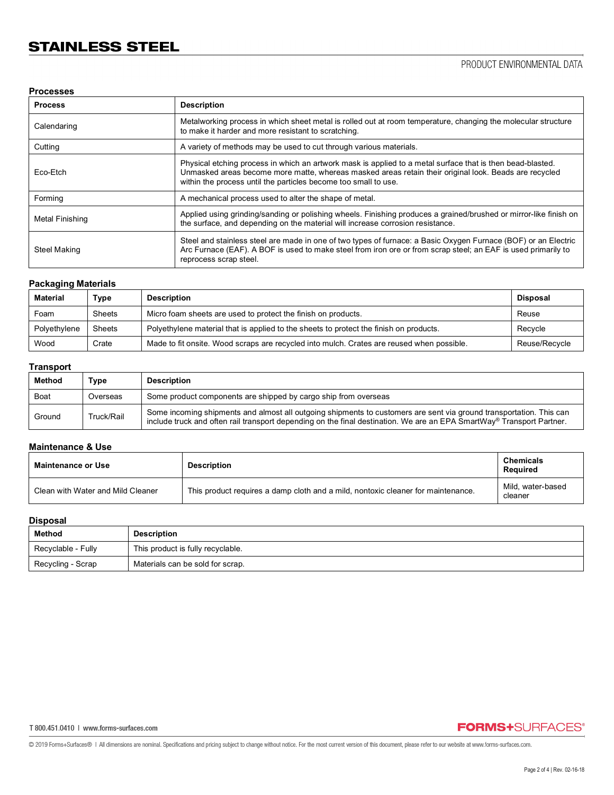## **Processes**

| <b>Process</b>  | <b>Description</b>                                                                                                                                                                                                                                                                     |
|-----------------|----------------------------------------------------------------------------------------------------------------------------------------------------------------------------------------------------------------------------------------------------------------------------------------|
| Calendaring     | Metalworking process in which sheet metal is rolled out at room temperature, changing the molecular structure<br>to make it harder and more resistant to scratching.                                                                                                                   |
| Cutting         | A variety of methods may be used to cut through various materials.                                                                                                                                                                                                                     |
| Eco-Etch        | Physical etching process in which an artwork mask is applied to a metal surface that is then bead-blasted.<br>Unmasked areas become more matte, whereas masked areas retain their original look. Beads are recycled<br>within the process until the particles become too small to use. |
| Forming         | A mechanical process used to alter the shape of metal.                                                                                                                                                                                                                                 |
| Metal Finishing | Applied using grinding/sanding or polishing wheels. Finishing produces a grained/brushed or mirror-like finish on<br>the surface, and depending on the material will increase corrosion resistance.                                                                                    |
| Steel Making    | Steel and stainless steel are made in one of two types of furnace: a Basic Oxygen Furnace (BOF) or an Electric<br>Arc Furnace (EAF). A BOF is used to make steel from iron ore or from scrap steel; an EAF is used primarily to<br>reprocess scrap steel.                              |

## **Packaging Materials**

| <b>Material</b> | Type   | <b>Description</b>                                                                        | <b>Disposal</b> |
|-----------------|--------|-------------------------------------------------------------------------------------------|-----------------|
| Foam            | Sheets | Micro foam sheets are used to protect the finish on products.                             | Reuse           |
| Polyethylene    | Sheets | Polyethylene material that is applied to the sheets to protect the finish on products.    | Recycle         |
| Wood            | Crate  | Made to fit onsite. Wood scraps are recycled into mulch. Crates are reused when possible. | Reuse/Recycle   |

# **Transport**

| Method | Type       | <b>Description</b>                                                                                                                                                                                                                           |
|--------|------------|----------------------------------------------------------------------------------------------------------------------------------------------------------------------------------------------------------------------------------------------|
| Boat   | Overseas   | Some product components are shipped by cargo ship from overseas                                                                                                                                                                              |
| Ground | Truck/Rail | Some incoming shipments and almost all outgoing shipments to customers are sent via ground transportation. This can<br>include truck and often rail transport depending on the final destination. We are an EPA SmartWay® Transport Partner. |

## **Maintenance & Use**

| Maintenance or Use                | <b>Description</b>                                                               | <b>Chemicals</b><br>Reauired |
|-----------------------------------|----------------------------------------------------------------------------------|------------------------------|
| Clean with Water and Mild Cleaner | This product requires a damp cloth and a mild, nontoxic cleaner for maintenance. | Mild. water-based<br>cleaner |

## **Disposal**

| Method             | <b>Description</b>                |
|--------------------|-----------------------------------|
| Recyclable - Fully | This product is fully recyclable. |
| Recycling - Scrap  | Materials can be sold for scrap.  |

# **FORMS+**SURFACES®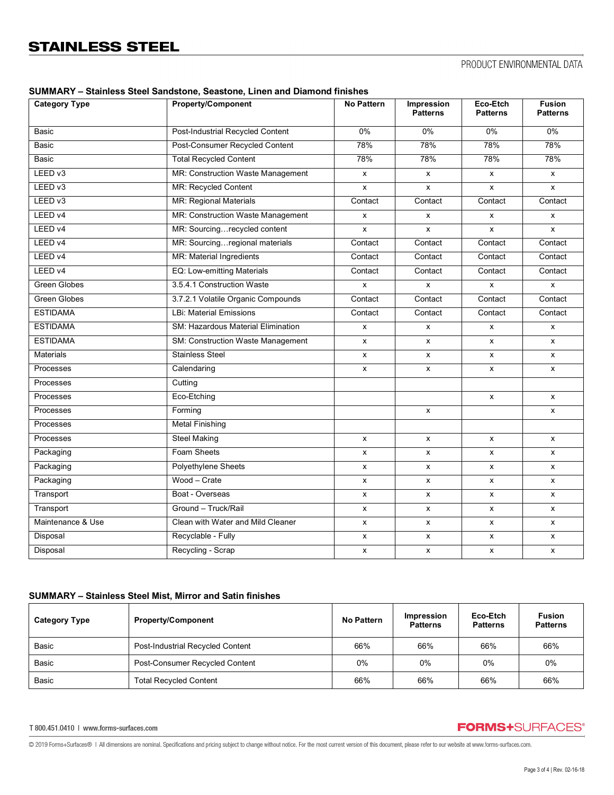| <b>Category Type</b> | ,,,,, coastono, mnon ana piamon<br><b>Property/Component</b> | <b>No Pattern</b> | <b>Impression</b><br><b>Patterns</b> | Eco-Etch<br><b>Patterns</b> | <b>Fusion</b><br><b>Patterns</b> |
|----------------------|--------------------------------------------------------------|-------------------|--------------------------------------|-----------------------------|----------------------------------|
| <b>Basic</b>         | Post-Industrial Recycled Content                             | $0\%$             | 0%                                   | 0%                          | $0\%$                            |
| Basic                | Post-Consumer Recycled Content                               | 78%               | 78%                                  | 78%                         | 78%                              |
| <b>Basic</b>         | <b>Total Recycled Content</b>                                | 78%               | 78%                                  | 78%                         | 78%                              |
| LEED v3              | MR: Construction Waste Management                            | X                 | X                                    | x                           | X                                |
| LEED <sub>v3</sub>   | MR: Recycled Content                                         | X                 | X                                    | X                           | X                                |
| LEED v3              | MR: Regional Materials                                       | Contact           | Contact                              | Contact                     | Contact                          |
| LEED v4              | MR: Construction Waste Management                            | X                 | $\mathsf{x}$                         | x                           | x                                |
| LEED v4              | MR: Sourcingrecycled content                                 | x                 | X                                    | X                           | X                                |
| LEED v4              | MR: Sourcingregional materials                               | Contact           | Contact                              | Contact                     | Contact                          |
| LEED v4              | MR: Material Ingredients                                     | Contact           | Contact                              | Contact                     | Contact                          |
| LEED v4              | EQ: Low-emitting Materials                                   | Contact           | Contact                              | Contact                     | Contact                          |
| <b>Green Globes</b>  | 3.5.4.1 Construction Waste                                   | x                 | X                                    | X                           | X                                |
| <b>Green Globes</b>  | 3.7.2.1 Volatile Organic Compounds                           | Contact           | Contact                              | Contact                     | Contact                          |
| <b>ESTIDAMA</b>      | <b>LBi: Material Emissions</b>                               | Contact           | Contact                              | Contact                     | Contact                          |
| <b>ESTIDAMA</b>      | SM: Hazardous Material Elimination                           | x                 | $\mathsf{x}$                         | $\mathsf{x}$                | X                                |
| <b>ESTIDAMA</b>      | SM: Construction Waste Management                            | X                 | X                                    | x                           | X                                |
| Materials            | <b>Stainless Steel</b>                                       | x                 | X                                    | x                           | X                                |
| Processes            | Calendaring                                                  | X                 | X                                    | X                           | $\pmb{\mathsf{x}}$               |
| Processes            | Cutting                                                      |                   |                                      |                             |                                  |
| Processes            | Eco-Etching                                                  |                   |                                      | x                           | X                                |
| Processes            | Forming                                                      |                   | X                                    |                             | X                                |
| Processes            | <b>Metal Finishing</b>                                       |                   |                                      |                             |                                  |
| Processes            | <b>Steel Making</b>                                          | X                 | $\mathsf{x}$                         | X                           | X                                |
| Packaging            | Foam Sheets                                                  | x                 | X                                    | X                           | X                                |
| Packaging            | <b>Polyethylene Sheets</b>                                   | X                 | X                                    | x                           | X                                |
| Packaging            | Wood - Crate                                                 | x                 | $\pmb{\mathsf{x}}$                   | $\pmb{\mathsf{x}}$          | $\pmb{\times}$                   |
| Transport            | Boat - Overseas                                              | x                 | $\mathsf{x}$                         | x                           | X                                |
| Transport            | Ground - Truck/Rail                                          | $\mathsf{x}$      | $\mathsf{x}$                         | X                           | X                                |
| Maintenance & Use    | Clean with Water and Mild Cleaner                            | x                 | X                                    | x                           | X                                |
| Disposal             | Recyclable - Fully                                           | X                 | $\pmb{\mathsf{x}}$                   | $\pmb{\mathsf{X}}$          | $\pmb{\mathsf{x}}$               |
| Disposal             | Recycling - Scrap                                            | X                 | X                                    | x                           | X                                |

## **SUMMARY – Stainless Steel Sandstone, Seastone, Linen and Diamond finishes**

## **SUMMARY – Stainless Steel Mist, Mirror and Satin finishes**

| <b>Category Type</b> | <b>Property/Component</b>               | No Pattern | <b>Impression</b><br><b>Patterns</b> | Eco-Etch<br><b>Patterns</b> | <b>Fusion</b><br><b>Patterns</b> |
|----------------------|-----------------------------------------|------------|--------------------------------------|-----------------------------|----------------------------------|
| Basic                | <b>Post-Industrial Recycled Content</b> | 66%        | 66%                                  | 66%                         | 66%                              |
| Basic                | Post-Consumer Recycled Content          | 0%         | 0%                                   | $0\%$                       | 0%                               |
| Basic                | <b>Total Recycled Content</b>           | 66%        | 66%                                  | 66%                         | 66%                              |

T 800.451.0410 | www.forms-surfaces.com

# **FORMS+**SURFACES®